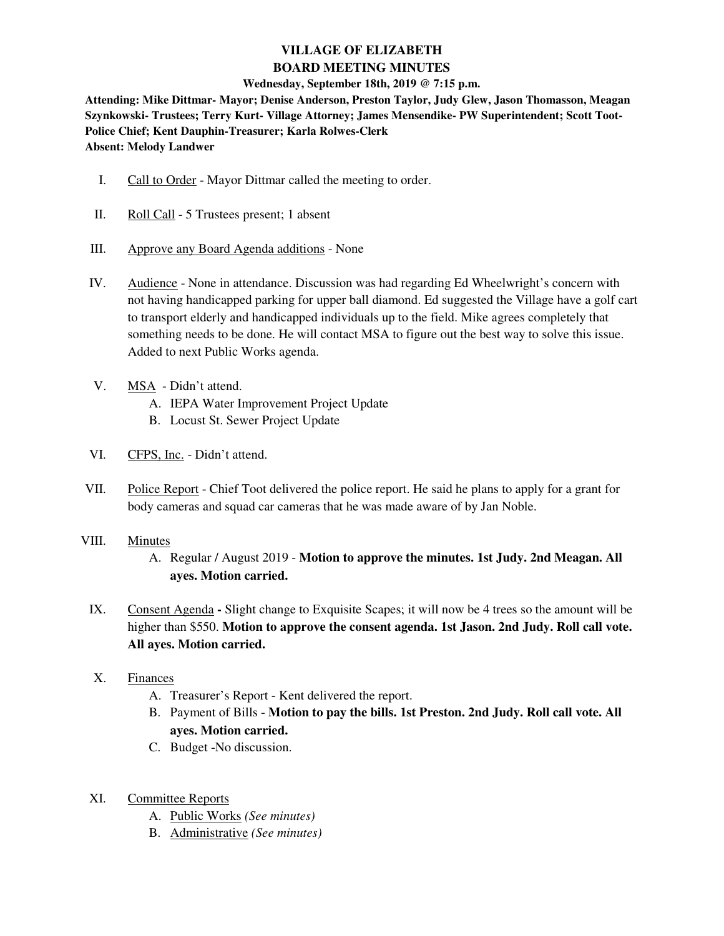# **VILLAGE OF ELIZABETH BOARD MEETING MINUTES**

### **Wednesday, September 18th, 2019 @ 7:15 p.m.**

**Attending: Mike Dittmar- Mayor; Denise Anderson, Preston Taylor, Judy Glew, Jason Thomasson, Meagan Szynkowski- Trustees; Terry Kurt- Village Attorney; James Mensendike- PW Superintendent; Scott Toot-Police Chief; Kent Dauphin-Treasurer; Karla Rolwes-Clerk Absent: Melody Landwer** 

- I. Call to Order Mayor Dittmar called the meeting to order.
- II. Roll Call 5 Trustees present; 1 absent
- III. Approve any Board Agenda additions None
- IV. Audience None in attendance. Discussion was had regarding Ed Wheelwright's concern with not having handicapped parking for upper ball diamond. Ed suggested the Village have a golf cart to transport elderly and handicapped individuals up to the field. Mike agrees completely that something needs to be done. He will contact MSA to figure out the best way to solve this issue. Added to next Public Works agenda.
- V. MSA Didn't attend.
	- A. IEPA Water Improvement Project Update
	- B. Locust St. Sewer Project Update
- VI. CFPS, Inc. Didn't attend.
- VII. Police Report Chief Toot delivered the police report. He said he plans to apply for a grant for body cameras and squad car cameras that he was made aware of by Jan Noble.
- VIII. Minutes
	- A. Regular / August 2019 **Motion to approve the minutes. 1st Judy. 2nd Meagan. All ayes. Motion carried.**
	- IX. Consent AgendaSlight change to Exquisite Scapes; it will now be 4 trees so the amount will be higher than \$550. **Motion to approve the consent agenda. 1st Jason. 2nd Judy. Roll call vote. All ayes. Motion carried.**
	- X. Finances
		- A. Treasurer's Report Kent delivered the report.
		- B. Payment of Bills **Motion to pay the bills. 1st Preston. 2nd Judy. Roll call vote. All ayes. Motion carried.**
		- C. Budget -No discussion.
	- XI. Committee Reports
		- A. Public Works *(See minutes)*
		- B. Administrative *(See minutes)*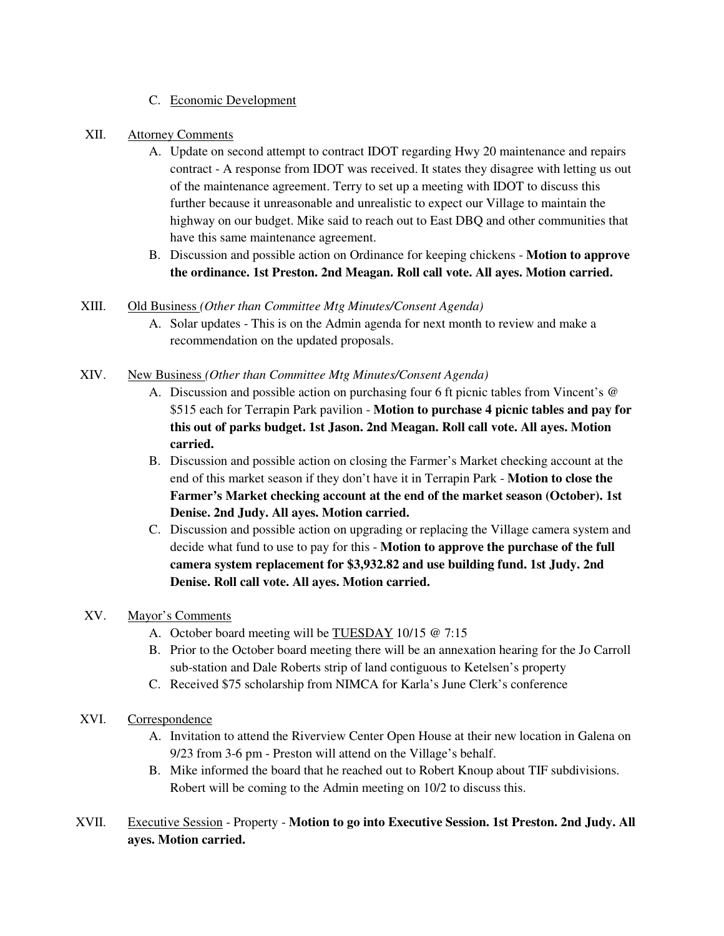- C. Economic Development
- XII. Attorney Comments
	- A. Update on second attempt to contract IDOT regarding Hwy 20 maintenance and repairs contract - A response from IDOT was received. It states they disagree with letting us out of the maintenance agreement. Terry to set up a meeting with IDOT to discuss this further because it unreasonable and unrealistic to expect our Village to maintain the highway on our budget. Mike said to reach out to East DBQ and other communities that have this same maintenance agreement.
	- B. Discussion and possible action on Ordinance for keeping chickens **Motion to approve the ordinance. 1st Preston. 2nd Meagan. Roll call vote. All ayes. Motion carried.**

## XIII. Old Business *(Other than Committee Mtg Minutes/Consent Agenda)*

A. Solar updates - This is on the Admin agenda for next month to review and make a recommendation on the updated proposals.

### XIV. New Business *(Other than Committee Mtg Minutes/Consent Agenda)*

- A. Discussion and possible action on purchasing four 6 ft picnic tables from Vincent's @ \$515 each for Terrapin Park pavilion - **Motion to purchase 4 picnic tables and pay for this out of parks budget. 1st Jason. 2nd Meagan. Roll call vote. All ayes. Motion carried.**
- B. Discussion and possible action on closing the Farmer's Market checking account at the end of this market season if they don't have it in Terrapin Park - **Motion to close the Farmer's Market checking account at the end of the market season (October). 1st Denise. 2nd Judy. All ayes. Motion carried.**
- C. Discussion and possible action on upgrading or replacing the Village camera system and decide what fund to use to pay for this - **Motion to approve the purchase of the full camera system replacement for \$3,932.82 and use building fund. 1st Judy. 2nd Denise. Roll call vote. All ayes. Motion carried.**

## XV. Mayor's Comments

- A. October board meeting will be TUESDAY 10/15 @ 7:15
- B. Prior to the October board meeting there will be an annexation hearing for the Jo Carroll sub-station and Dale Roberts strip of land contiguous to Ketelsen's property
- C. Received \$75 scholarship from NIMCA for Karla's June Clerk's conference
- XVI. Correspondence
	- A. Invitation to attend the Riverview Center Open House at their new location in Galena on 9/23 from 3-6 pm - Preston will attend on the Village's behalf.
	- B. Mike informed the board that he reached out to Robert Knoup about TIF subdivisions. Robert will be coming to the Admin meeting on 10/2 to discuss this.
- XVII. Executive Session Property **Motion to go into Executive Session. 1st Preston. 2nd Judy. All ayes. Motion carried.**